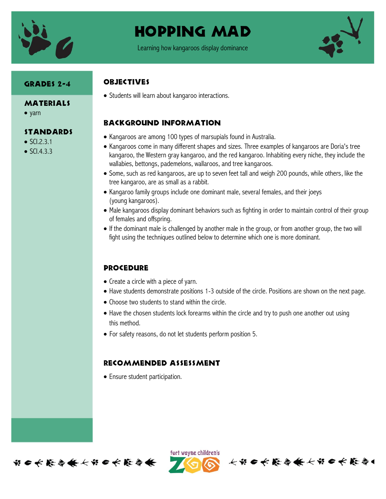

# Hopping Mad

Learning how kangaroos display dominance



### Grades 2-4

#### MATERIALS

• yarn

#### **STANDARDS**

- $\bullet$  SCI.2.3.1
- $\bullet$  SCI.4.3.3

### **ORJECTIVES**

• Students will learn about kangaroo interactions.

## Background information

- Kangaroos are among 100 types of marsupials found in Australia.
- Kangaroos come in many different shapes and sizes. Three examples of kangaroos are Doria's tree kangaroo, the Western gray kangaroo, and the red kangaroo. Inhabiting every niche, they include the wallabies, bettongs, pademelons, wallaroos, and tree kangaroos.
- Some, such as red kangaroos, are up to seven feet tall and weigh 200 pounds, while others, like the tree kangaroo, are as small as a rabbit.
- Kangaroo family groups include one dominant male, several females, and their joeys (young kangaroos).
- Male kangaroos display dominant behaviors such as fighting in order to maintain control of their group of females and offspring.
- If the dominant male is challenged by another male in the group, or from another group, the two will fight using the techniques outlined below to determine which one is more dominant.

## **PROCEDURE**

- Create a circle with a piece of yarn.
- Have students demonstrate positions 1-3 outside of the circle. Positions are shown on the next page.

长节日长能与长长节日长能与

- Choose two students to stand within the circle.
- Have the chosen students lock forearms within the circle and try to push one another out using this method.
- For safety reasons, do not let students perform position 5.

#### Recommended assessment

Ensure student participation.